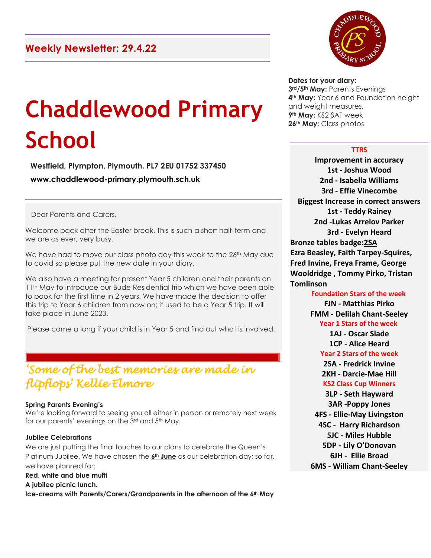# **Chaddlewood Primary School**

**Westfield, Plympton, Plymouth. PL7 2EU 01752 337450 www.chaddlewood-primary.plymouth.sch.uk**

Dear Parents and Carers,

Welcome back after the Easter break. This is such a short half-term and we are as ever, very busy.

We have had to move our class photo day this week to the 26<sup>th</sup> May due to covid so please put the new date in your diary.

We also have a meeting for present Year 5 children and their parents on 11<sup>th</sup> May to introduce our Bude Residential trip which we have been able to book for the first time in 2 years. We have made the decision to offer this trip to Year 6 children from now on; it used to be a Year 5 trip. It will take place in June 2023.

Please come a long if your child is in Year 5 and find out what is involved.

# *'Some of the best memories are made in flipflops' Kellie Elmore*

#### **Spring Parents Evening's**

We're looking forward to seeing you all either in person or remotely next week for our parents' evenings on the 3rd and 5th May.

#### **Jubilee Celebrations**

We are just putting the final touches to our plans to celebrate the Queen's Platinum Jubilee. We have chosen the **6th June** as our celebration day; so far, we have planned for:

#### **Red, white and blue mufti**

**A jubilee picnic lunch.** 

**Ice-creams with Parents/Carers/Grandparents in the afternoon of the 6th May**



#### **Dates for your diary:**

**rd/5th May:** Parents Evenings **th May:** Year 6 and Foundation height and weight measures. **th May:** KS2 SAT week **th May:** Class photos

#### **TTRS**

**Improvement in accuracy 1st - Joshua Wood 2nd - Isabella Williams 3rd - Effie Vinecombe Biggest Increase in correct answers 1st - Teddy Rainey 2nd -Lukas Arrelov Parker 3rd - Evelyn Heard Bronze tables badge:2SA Ezra Beasley, Faith Tarpey-Squires, Fred Invine, Freya Frame, George Wooldridge , Tommy Pirko, Tristan Tomlinson**

**Foundation Stars of the week FJN - Matthias Pirko FMM - Delilah Chant-Seeley Year 1 Stars of the week 1AJ - Oscar Slade 1CP - Alice Heard Year 2 Stars of the week 2SA - Fredrick Invine 2KH - Darcie-Mae Hill KS2 Class Cup Winners 3LP - Seth Hayward 3AR -Poppy Jones 4FS - Ellie-May Livingston 4SC - Harry Richardson 5JC - Miles Hubble 5DP - Lily O'Donovan 6JH - Ellie Broad 6MS - William Chant-Seeley**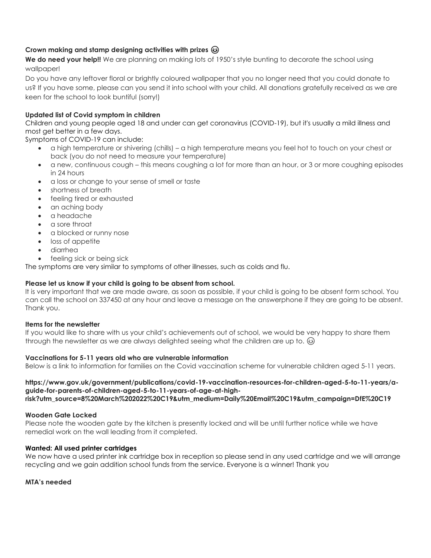# **Crown making and stamp designing activities with prizes**

We do need vour help!! We are planning on making lots of 1950's style bunting to decorate the school using wallpaper!

Do you have any leftover floral or brightly coloured wallpaper that you no longer need that you could donate to us? If you have some, please can you send it into school with your child. All donations gratefully received as we are keen for the school to look buntiful (sorry!)

# **Updated list of Covid symptom in children**

Children and young people aged 18 and under can get coronavirus (COVID-19), but it's usually a mild illness and most get better in a few days.

Symptoms of COVID-19 can include:

- a high temperature or shivering (chills) a high temperature means you feel hot to touch on your chest or back (you do not need to measure your temperature)
- a new, continuous cough this means coughing a lot for more than an hour, or 3 or more coughing episodes in 24 hours
- a loss or change to your sense of smell or taste
- shortness of breath
- feeling tired or exhausted
- an aching body
- a headache
- a sore throat
- a blocked or runny nose
- loss of appetite
- diarrhea
- feeling sick or being sick

The symptoms are very similar to symptoms of other illnesses, such as colds and flu.

# **Please let us know if your child is going to be absent from school.**

It is very important that we are made aware, as soon as possible, if your child is going to be absent form school. You can call the school on 337450 at any hour and leave a message on the answerphone if they are going to be absent. Thank you.

# **Items for the newsletter**

If you would like to share with us your child's achievements out of school, we would be very happy to share them through the newsletter as we are always delighted seeing what the children are up to.  $\circledcirc$ 

# **Vaccinations for 5-11 years old who are vulnerable information**

Below is a link to information for families on the Covid vaccination scheme for vulnerable children aged 5-11 years.

**https://www.gov.uk/government/publications/covid-19-vaccination-resources-for-children-aged-5-to-11-years/aguide-for-parents-of-children-aged-5-to-11-years-of-age-at-highrisk?utm\_source=8%20March%202022%20C19&utm\_medium=Daily%20Email%20C19&utm\_campaign=DfE%20C19**

# **Wooden Gate Locked**

Please note the wooden gate by the kitchen is presently locked and will be until further notice while we have remedial work on the wall leading from it completed.

# **Wanted: All used printer cartridges**

We now have a used printer ink cartridge box in reception so please send in any used cartridge and we will arrange recycling and we gain addition school funds from the service. Everyone is a winner! Thank you

**MTA's needed**